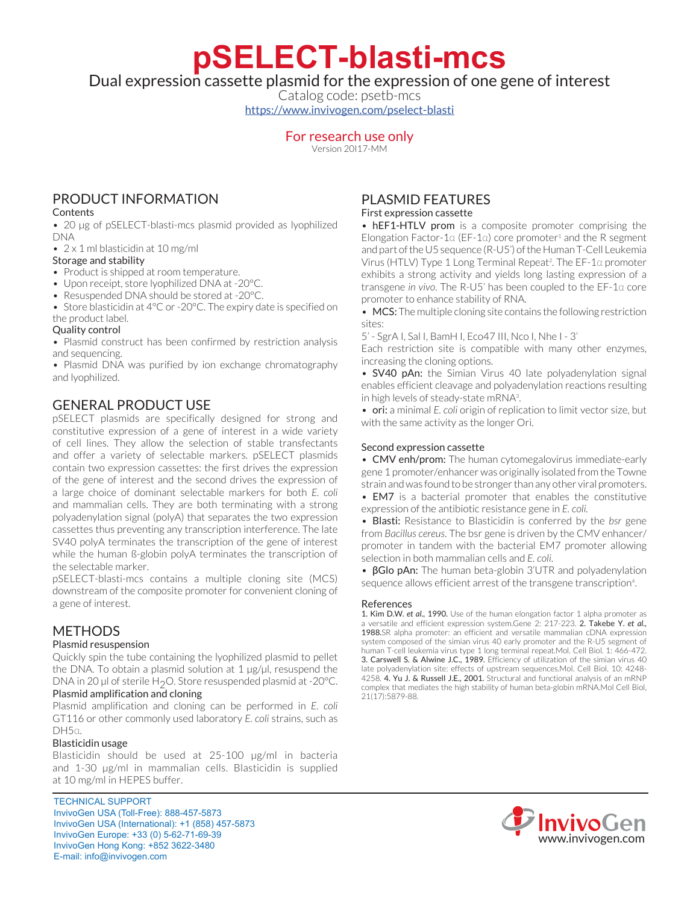**pSELECT-blasti-mcs**

Dual expression cassette plasmid for the expression of one gene of interest

Catalog code: psetb-mcs <https://www.invivogen.com/pselect-blasti>

## For research use only

Version 20I17-MM

# PRODUCT INFORMATION

### Contents

• 20 µg of pSELECT-blasti-mcs plasmid provided as lyophilized DNA

• 2 x 1 ml blasticidin at 10 mg/ml

### Storage and stability

- Product is shipped at room temperature.
- Upon receipt, store lyophilized DNA at -20°C.
- Resuspended DNA should be stored at -20°C.

• Store blasticidin at 4°C or -20°C. The expiry date is specified on the product label.

## Quality control

• Plasmid construct has been confirmed by restriction analysis and sequencing.

• Plasmid DNA was purified by ion exchange chromatography and lyophilized.

# GENERAL PRODUCT USE

pSELECT plasmids are specifically designed for strong and constitutive expression of a gene of interest in a wide variety of cell lines. They allow the selection of stable transfectants and offer a variety of selectable markers. pSELECT plasmids contain two expression cassettes: the first drives the expression of the gene of interest and the second drives the expression of a large choice of dominant selectable markers for both *E. coli*  and mammalian cells. They are both terminating with a strong polyadenylation signal (polyA) that separates the two expression cassettes thus preventing any transcription interference. The late SV40 polyA terminates the transcription of the gene of interest while the human ß-globin polyA terminates the transcription of the selectable marker.

pSELECT-blasti-mcs contains a multiple cloning site (MCS) downstream of the composite promoter for convenient cloning of a gene of interest.

## **METHODS**

## Plasmid resuspension

Quickly spin the tube containing the lyophilized plasmid to pellet the DNA. To obtain a plasmid solution at 1 µg/µl, resuspend the DNA in 20 µl of sterile H<sub>2</sub>O. Store resuspended plasmid at -20 $^{\circ}$ C. Plasmid amplification and cloning

Plasmid amplification and cloning can be performed in *E. coli* GT116 or other commonly used laboratory *E. coli* strains, such as DH5α.

#### Blasticidin usage

Blasticidin should be used at 25-100 µg/ml in bacteria and 1-30  $\mu$ g/ml in mammalian cells. Blasticidin is supplied at 10 mg/ml in HEPES buffer.

TECHNICAL SUPPORT InvivoGen USA (Toll‑Free): 888-457-5873 InvivoGen USA (International): +1 (858) 457-5873 InvivoGen Europe: +33 (0) 5-62-71-69-39 InvivoGen Hong Kong: +852 3622-3480 E-mail: info@invivogen.com

# PLASMID FEATURES

#### First expression cassette

• hEF1-HTLV prom is a composite promoter comprising the Elongation Factor-1 $\alpha$  (EF-1 $\alpha$ ) core promoter<sup>1</sup> and the R segment and part of the U5 sequence (R-U5') of the Human T-Cell Leukemia Virus (HTLV) Type 1 Long Terminal Repeat<sup>2</sup> . The EF-1α promoter exhibits a strong activity and yields long lasting expression of a transgene *in vivo*. The R-U5' has been coupled to the EF-1α core promoter to enhance stability of RNA.

• MCS: The multiple cloning site contains the following restriction sites:

5' - SgrA I, Sal I, BamH I, Eco47 III, Nco I, Nhe I - 3'

Each restriction site is compatible with many other enzymes, increasing the cloning options.

• **SV40 pAn:** the Simian Virus 40 late polyadenylation signal enables efficient cleavage and polyadenylation reactions resulting in high levels of steady-state mRNA<sup>3</sup>.

• ori: a minimal *E. coli* origin of replication to limit vector size, but with the same activity as the longer Ori.

### Second expression cassette

• CMV enh/prom: The human cytomegalovirus immediate-early gene 1 promoter/enhancer was originally isolated from the Towne strain and was found to be stronger than any other viral promoters.

• EM7 is a bacterial promoter that enables the constitutive expression of the antibiotic resistance gene in *E. coli.*

• Blasti: Resistance to Blasticidin is conferred by the *bsr* gene from *Bacillus cereus*. The bsr gene is driven by the CMV enhancer/ promoter in tandem with the bacterial EM7 promoter allowing selection in both mammalian cells and *E. coli*.

• βGlo pAn: The human beta-globin 3'UTR and polyadenylation sequence allows efficient arrest of the transgene transcription<sup>4</sup>. .

#### References

1. Kim D.W. *et al.,* 1990. Use of the human elongation factor 1 alpha promoter as a versatile and efficient expression system.Gene 2: 217-223. 2. Takebe Y. *et al.,* 1988.SR alpha promoter: an efficient and versatile mammalian cDNA expression system composed of the simian virus 40 early promoter and the R-U5 segment of human T-cell leukemia virus type 1 long terminal repeat.Mol. Cell Biol. 1: 466-472. 3. Carswell S. & Alwine J.C., 1989. Efficiency of utilization of the simian virus 40 late polyadenylation site: effects of upstream sequences.Mol. Cell Biol. 10: 4248- 4258. 4. Yu J. & Russell J.E., 2001. Structural and functional analysis of an mRNP complex that mediates the high stability of human beta-globin mRNA.Mol Cell Biol, 21(17):5879-88.

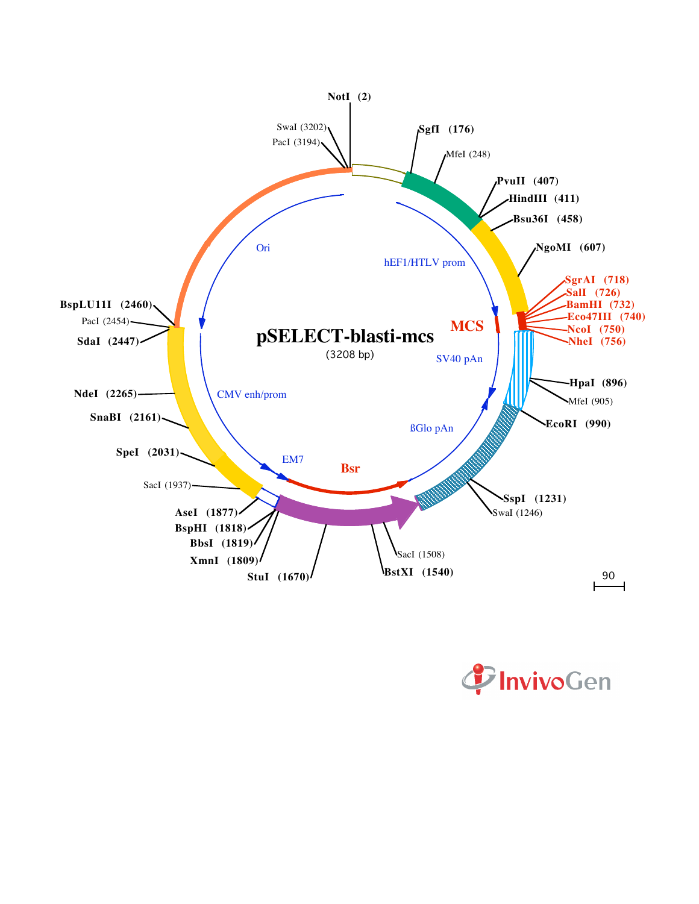